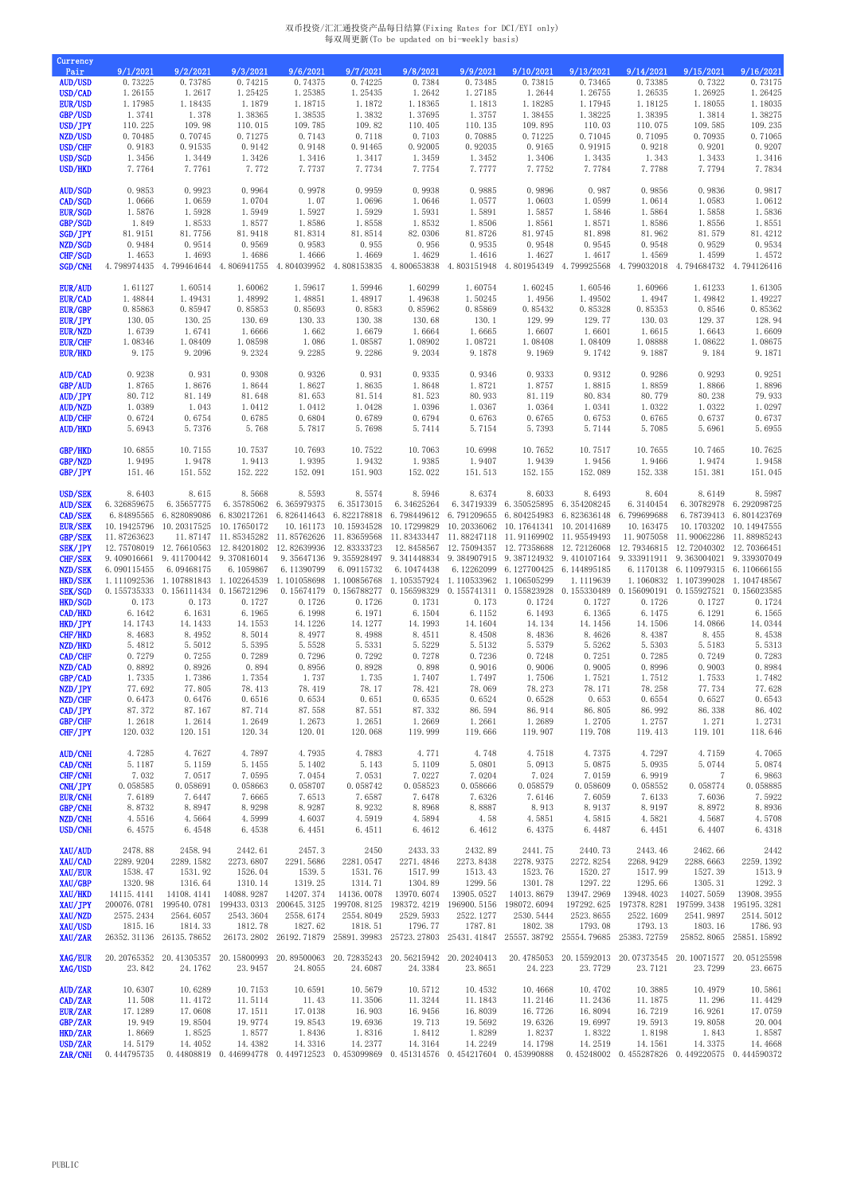## 双币投资/汇汇通投资产品每日结算(Fixing Rates for DCI/EYI only) 每双周更新(To be updated on bi-weekly basis)

| Currency<br>Pair                 | 9/1/2021                         | 9/2/2021                   | 9/3/2021                            | 9/6/2021                  | 9/7/2021                                                                                                                                                   | 9/8/2021                  | 9/9/2021                          | 9/10/2021                                          | 9/13/2021                  | 9/14/2021                | 9/15/2021                                        | 9/16/2021                  |
|----------------------------------|----------------------------------|----------------------------|-------------------------------------|---------------------------|------------------------------------------------------------------------------------------------------------------------------------------------------------|---------------------------|-----------------------------------|----------------------------------------------------|----------------------------|--------------------------|--------------------------------------------------|----------------------------|
| <b>AUD/USD</b><br>USD/CAD        | 0.73225<br>1.26155               | 0.73785<br>1.2617          | 0.74215<br>1.25425                  | 0.74375<br>1.25385        | 0.74225<br>1.25435                                                                                                                                         | 0.7384<br>1.2642          | 0.73485<br>1.27185                | 0.73815<br>1.2644                                  | 0.73465<br>1.26755         | 0.73385<br>1.26535       | 0.7322<br>1.26925                                | 0.73175<br>1.26425         |
| <b>EUR/USD</b><br>GBP/USD        | 1.17985<br>1.3741                | 1.18435<br>1.378           | 1.1879<br>1.38365                   | 1.18715<br>1.38535        | 1.1872<br>1.3832                                                                                                                                           | 1.18365<br>1.37695        | 1.1813<br>1.3757                  | 1.18285<br>1.38455                                 | 1.17945<br>1.38225         | 1.18125<br>1.38395       | 1.18055<br>1.3814                                | 1.18035<br>1.38275         |
| USD/JPY                          | 110.225                          | 109.98                     | 110.015                             | 109.785                   | 109.82                                                                                                                                                     | 110.405                   | 110.135                           | 109.895                                            | 110.03                     | 110.075                  | 109.585                                          | 109.235                    |
| NZD/USD<br>USD/CHF               | 0.70485<br>0.9183                | 0.70745<br>0.91535         | 0.71275<br>0.9142                   | 0.7143<br>0.9148          | 0.7118<br>0.91465                                                                                                                                          | 0.7103<br>0.92005         | 0.70885<br>0.92035                | 0.71225<br>0.9165                                  | 0.71045<br>0.91915         | 0.71095<br>0.9218        | 0.70935<br>0.9201                                | 0.71065<br>0.9207          |
| USD/SGD<br>USD/HKD               | 1.3456<br>7.7764                 | 1.3449<br>7.7761           | 1.3426<br>7.772                     | 1.3416<br>7.7737          | 1.3417<br>7.7734                                                                                                                                           | 1.3459<br>7.7754          | 1.3452<br>7.7777                  | 1.3406<br>7.7752                                   | 1.3435<br>7.7784           | 1.343<br>7.7788          | 1.3433<br>7.7794                                 | 1.3416<br>7.7834           |
| <b>AUD/SGD</b>                   | 0.9853                           | 0.9923                     | 0.9964                              | 0.9978                    | 0.9959                                                                                                                                                     | 0.9938                    | 0.9885                            | 0.9896                                             | 0.987                      | 0.9856                   | 0.9836                                           | 0.9817                     |
| CAD/SGD<br><b>EUR/SGD</b>        | 1.0666<br>1.5876                 | 1.0659<br>1.5928           | 1.0704<br>1.5949                    | 1.07<br>1.5927            | 1.0696<br>1.5929                                                                                                                                           | 1.0646<br>1.5931          | 1.0577<br>1.5891                  | 1.0603<br>1.5857                                   | 1.0599<br>1.5846           | 1.0614<br>1.5864         | 1.0583<br>1.5858                                 | 1.0612<br>1.5836           |
| GBP/SGD                          | 1.849                            | 1.8533                     | 1.8577                              | 1.8586                    | 1.8558                                                                                                                                                     | 1.8532                    | 1.8506                            | 1.8561                                             | 1.8571                     | 1.8586                   | 1.8556                                           | 1.8551                     |
| SGD/JPY<br>NZD/SGD               | 81.9151<br>0.9484                | 81.7756<br>0.9514          | 81.9418<br>0.9569                   | 81.8314<br>0.9583         | 81.8514<br>0.955                                                                                                                                           | 82.0306<br>0.956          | 81.8726<br>0.9535                 | 81.9745<br>0.9548                                  | 81.898<br>0.9545           | 81.962<br>0.9548         | 81.579<br>0.9529                                 | 81.4212<br>0.9534          |
| CHF/SGD<br>SGD/CNH               | 1.4653<br>4.798974435            | 1.4693                     | 1.4686<br>4.799464644 4.806941755   | 1.4666<br>4.804039952     | 1.4669<br>4.808153835                                                                                                                                      | 1.4629<br>4.800653838     | 1.4616<br>4.803151948 4.801954349 | 1.4627                                             | 1.4617<br>4.799925568      | 1.4569<br>4.799032018    | 1.4599<br>4.794684732                            | 1.4572<br>4.794126416      |
| <b>EUR/AUD</b>                   | 1.61127                          | 1.60514                    | 1.60062                             | 1.59617                   | 1.59946                                                                                                                                                    | 1.60299                   | 1.60754                           | 1.60245                                            | 1.60546                    | 1.60966                  | 1.61233                                          | 1.61305                    |
| EUR/CAD                          | 1.48844                          | 1.49431                    | 1.48992                             | 1.48851                   | 1.48917                                                                                                                                                    | 1.49638                   | 1.50245                           | 1.4956                                             | 1.49502                    | 1.4947                   | 1.49842                                          | 1.49227                    |
| <b>EUR/GBP</b><br>EUR/JPY        | 0.85863<br>130.05                | 0.85947<br>130.25          | 0.85853<br>130.69                   | 0.85693<br>130.33         | 0.8583<br>130.38                                                                                                                                           | 0.85962<br>130.68         | 0.85869<br>130.1                  | 0.85432<br>129.99                                  | 0.85328<br>129.77          | 0.85353<br>130.03        | 0.8546<br>129.37                                 | 0.85362<br>128.94          |
| EUR/NZD<br><b>EUR/CHF</b>        | 1.6739<br>1.08346                | 1.6741<br>1.08409          | 1.6666<br>1.08598                   | 1.662<br>1.086            | 1.6679<br>1.08587                                                                                                                                          | 1.6664<br>1.08902         | 1.6665<br>1.08721                 | 1.6607<br>1.08408                                  | 1.6601<br>1.08409          | 1.6615<br>1.08888        | 1.6643<br>1.08622                                | 1.6609<br>1.08675          |
| <b>EUR/HKD</b>                   | 9.175                            | 9.2096                     | 9.2324                              | 9.2285                    | 9.2286                                                                                                                                                     | 9.2034                    | 9.1878                            | 9.1969                                             | 9.1742                     | 9.1887                   | 9.184                                            | 9.1871                     |
| AUD/CAD                          | 0.9238                           | 0.931                      | 0.9308                              | 0.9326                    | 0.931                                                                                                                                                      | 0.9335                    | 0.9346                            | 0.9333                                             | 0.9312                     | 0.9286                   | 0.9293                                           | 0.9251                     |
| GBP/AUD<br>AUD/JPY               | 1.8765<br>80.712                 | 1.8676<br>81.149           | 1.8644<br>81.648                    | 1.8627<br>81.653          | 1.8635<br>81.514                                                                                                                                           | 1.8648<br>81.523          | 1.8721<br>80.933                  | 1.8757<br>81.119                                   | 1.8815<br>80.834           | 1.8859<br>80.779         | 1.8866<br>80.238                                 | 1.8896<br>79.933           |
| AUD/NZD<br><b>AUD/CHF</b>        | 1.0389<br>0.6724                 | 1.043<br>0.6754            | 1.0412<br>0.6785                    | 1.0412<br>0.6804          | 1.0428<br>0.6789                                                                                                                                           | 1.0396<br>0.6794          | 1.0367<br>0.6763                  | 1.0364<br>0.6765                                   | 1.0341<br>0.6753           | 1.0322<br>0.6765         | 1.0322<br>0.6737                                 | 1.0297<br>0.6737           |
| <b>AUD/HKD</b>                   | 5.6943                           | 5.7376                     | 5.768                               | 5.7817                    | 5.7698                                                                                                                                                     | 5.7414                    | 5.7154                            | 5.7393                                             | 5.7144                     | 5.7085                   | 5.6961                                           | 5.6955                     |
| <b>GBP/HKD</b><br>GBP/NZD        | 10.6855<br>1.9495                | 10.7155<br>1.9478          | 10.7537<br>1.9413                   | 10.7693<br>1.9395         | 10.7522<br>1.9432                                                                                                                                          | 10.7063<br>1.9385         | 10.6998                           | 10.7652                                            | 10.7517<br>1.9456          | 10.7655<br>1.9466        | 10.7465<br>1.9474                                | 10.7625<br>1.9458          |
| GBP/JPY                          | 151.46                           | 151.552                    | 152.222                             | 152.091                   | 151.903                                                                                                                                                    | 152.022                   | 1.9407<br>151.513                 | 1.9439<br>152.155                                  | 152.089                    | 152.338                  | 151.381                                          | 151.045                    |
| USD/SEK                          | 8.6403<br>6.326859675 6.35657775 | 8.615                      | 8.5668                              | 8.5593                    | 8.5574                                                                                                                                                     | 8.5946                    | 8.6374                            | 8.6033                                             | 8.6493                     | 8.604                    | 8.6149<br>6.3140454 6.30782978 6.292098725       | 8.5987                     |
| <b>AUD/SEK</b><br><b>CAD/SEK</b> | 6.84895565                       | 6.828089086                |                                     |                           | 6.35785062 6.365979375 6.35173015 6.34625264 6.34719339 6.350525895 6.354208245<br>6.830217261 6.826414643 6.822178818 6.798449612 6.791209655 6.804254983 |                           |                                   |                                                    | 6.823636148                | 6.799699688              |                                                  | 6.78739413 6.801423769     |
| <b>EUR/SEK</b><br>GBP/SEK        | 10.19425796<br>11.87263623       | 10.20317525                | 10.17650172<br>11.87147 11.85345282 | 11.85762626               | 10.161173 10.15934528<br>11.83659568                                                                                                                       | 10.17299829               | 11.83433447 11.88247118           | 10.20336062 10.17641341 10.20141689<br>11.91169902 | 11.95549493                | 10.163475<br>11.9075058  | 10.1703202<br>11.90062286                        | 10.14947555<br>11.88985243 |
| <b>SEK/JPY</b><br>CHF/SEK        | 12.75708019<br>9.409016661       | 12.76610563<br>9.411700442 | 12.84201802<br>9.370816014          | 12.82639936<br>9.35647136 | 12.83333723<br>9.355928497                                                                                                                                 | 12.8458567<br>9.341448834 | 12.75094357                       | 12.77358688<br>9.384907915 9.387124932             | 12.72126068<br>9.410107164 | 9.333911911 9.363004021  | 12.79346815 12.72040302                          | 12.70366451<br>9.339307049 |
| NZD/SEK                          | 6.090115455                      | 6.09468175                 | 6.1059867                           | 6.11390799                | 6.09115732                                                                                                                                                 | 6.10474438                | 6.12262099                        | 6.127700425                                        | 6.144895185                |                          | 6.1170138 6.110979315                            | 6.110666155                |
| <b>HKD/SEK</b><br><b>SEK/SGD</b> | 1.111092536<br>0.155735333       | 1.107881843<br>0.156111434 | 1.102264539<br>0.156721296          | 1.101058698<br>0.15674179 | 1.100856768<br>0.156788277                                                                                                                                 | 1.105357924               | 1.110533962 1.106505299           | 0.156598329  0.155741311  0.155823928  0.155330489 | 1.1119639                  |                          | 1.1060832 1.107399028<br>0.156090191 0.155927521 | 1.104748567<br>0.156023585 |
| HKD/SGD<br>CAD/HKD               | 0.173<br>6.1642                  | 0.173<br>6.1631            | 0.1727<br>6.1965                    | 0.1726<br>6.1998          | 0.1726<br>6.1971                                                                                                                                           | 0.1731<br>6.1504          | 0.173<br>6.1152                   | 0.1724<br>6.1493                                   | 0.1727<br>6.1365           | 0.1726<br>6.1475         | 0.1727<br>6.1291                                 | 0.1724<br>6.1565           |
| HKD/JPY                          | 14.1743                          | 14.1433                    | 14.1553                             | 14.1226                   | 14.1277                                                                                                                                                    | 14.1993                   | 14.1604                           | 14.134                                             | 14.1456                    | 14.1506                  | 14.0866                                          | 14.0344                    |
| CHF/HKD<br>NZD/HKD               | 8.4683<br>5.4812                 | 8.4952<br>5.5012           | 8.5014<br>5.5395                    | 8.4977<br>5.5528          | 8.4988<br>5.5331                                                                                                                                           | 8.4511<br>5.5229          | 8.4508<br>5.5132                  | 8.4836<br>5.5379                                   | 8.4626<br>5.5262           | 8.4387<br>5.5303         | 8.455<br>5.5183                                  | 8.4538<br>5.5313           |
| CAD/CHF<br>NZD/CAD               | 0.7279<br>0.8892                 | 0.7255<br>0.8926           | 0.7289<br>0.894                     | 0.7296<br>0.8956          | 0.7292<br>0.8928                                                                                                                                           | 0.7278<br>0.898           | 0.7236<br>0.9016                  | 0.7248<br>0.9006                                   | 0.7251<br>0.9005           | 0.7285<br>0.8996         | 0.7249<br>0.9003                                 | 0.7283<br>0.8984           |
| GBP/CAD                          | 1.7335                           | 1.7386                     | 1.7354                              | 1.737                     | 1.735                                                                                                                                                      | 1.7407                    | 1.7497                            | 1.7506                                             | 1.7521                     | 1.7512                   | 1.7533                                           | 1.7482                     |
| NZD/JPY<br>NZD/CHF               | 77.692<br>0.6473                 | 77.805<br>0.6476           | 78.413<br>0.6516                    | 78.419<br>0.6534          | 78.17<br>0.651                                                                                                                                             | 78.421<br>0.6535          | 78.069<br>0.6524                  | 78.273<br>0.6528                                   | 78.171<br>0.653            | 78.258<br>0.6554         | 77.734<br>0.6527                                 | 77.628<br>0.6543           |
| CAD/JPY<br>GBP/CHF               | 87.372<br>1.2618                 | 87.167<br>1.2614           | 87.714<br>1.2649                    | 87.558<br>1.2673          | 87.551<br>1.2651                                                                                                                                           | 87.332<br>1.2669          | 86.594<br>1.2661                  | 86.914<br>1.2689                                   | 86.805<br>1.2705           | 86.992<br>1.2757         | 86.338<br>1.271                                  | 86.402<br>1.2731           |
| CHF/JPY                          | 120.032                          | 120.151                    | 120.34                              | 120.01                    | 120.068                                                                                                                                                    | 119.999                   | 119.666                           | 119.907                                            | 119.708                    | 119.413                  | 119.101                                          | 118.646                    |
| <b>AUD/CNH</b>                   | 4.7285                           | 4.7627                     | 4.7897                              | 4.7935                    | 4.7883                                                                                                                                                     | 4.771                     | 4.748                             | 4.7518                                             | 4.7375                     | 4.7297                   | 4.7159                                           | 4.7065                     |
| CAD/CNH<br>CHF/CNH               | 5.1187<br>7.032                  | 5.1159<br>7.0517           | 5.1455<br>7.0595                    | 5.1402<br>7.0454          | 5.143<br>7.0531                                                                                                                                            | 5.1109<br>7.0227          | 5.0801<br>7.0204                  | 5.0913<br>7.024                                    | 5.0875<br>7.0159           | 5.0935<br>6.9919         | 5.0744<br>$\tau$                                 | 5.0874<br>6.9863           |
| CNH/JPY<br><b>EUR/CNH</b>        | 0.058585<br>7.6189               | 0.058691<br>7.6447         | 0.058663<br>7.6665                  | 0.058707<br>7.6513        | 0.058742<br>7.6587                                                                                                                                         | 0.058523<br>7.6478        | 0.058666<br>7.6326                | 0.058579<br>7.6146                                 | 0.058609<br>7.6059         | 0.058552<br>7.6133       | 0.058774<br>7.6036                               | 0.058885<br>7.5922         |
| GBP/CNH                          | 8.8732                           | 8.8947                     | 8.9298                              | 8.9287                    | 8.9232                                                                                                                                                     | 8.8968                    | 8.8887                            | 8.913                                              | 8.9137                     | 8.9197                   | 8.8972                                           | 8.8936                     |
| NZD/CNH<br>USD/CNH               | 4.5516<br>6.4575                 | 4.5664<br>6.4548           | 4.5999<br>6.4538                    | 4.6037<br>6.4451          | 4.5919<br>6.4511                                                                                                                                           | 4.5894<br>6.4612          | 4.58<br>6.4612                    | 4.5851<br>6.4375                                   | 4.5815<br>6.4487           | 4.5821<br>6.4451         | 4.5687<br>6.4407                                 | 4.5708<br>6.4318           |
| XAU/AUD<br>XAU/CAD               | 2478.88<br>2289.9204             | 2458.94<br>2289.1582       | 2442.61<br>2273.6807                | 2457.3<br>2291.5686       | 2450<br>2281.0547                                                                                                                                          | 2433.33<br>2271.4846      | 2432.89<br>2273.8438              | 2441.75<br>2278.9375                               | 2440.73<br>2272.8254       | 2443.46<br>2268.9429     | 2462.66<br>2288.6663                             | 2442<br>2259.1392          |
| XAU/EUR                          | 1538.47                          | 1531.92                    | 1526.04                             | 1539.5                    | 1531.76                                                                                                                                                    | 1517.99                   | 1513.43                           | 1523.76                                            | 1520.27                    | 1517.99                  | 1527.39                                          | 1513.9                     |
| XAU/GBP<br>XAU/HKD               | 1320.98<br>14115.4141            | 1316.64<br>14108.4141      | 1310.14<br>14088.9287               | 1319.25<br>14207.374      | 1314.71<br>14136.0078                                                                                                                                      | 1304.89<br>13970.6074     | 1299.56<br>13905.0527             | 1301.78<br>14013.8679                              | 1297.22<br>13947.2969      | 1295.66<br>13948.4023    | 1305.31<br>14027.5059                            | 1292.3<br>13908.3955       |
| XAU/JPY<br>XAU/NZD               | 200076.0781<br>2575.2434         | 199540.0781<br>2564.6057   | 199433.0313<br>2543.3604            | 200645.3125<br>2558.6174  | 199708.8125<br>2554.8049                                                                                                                                   | 198372.4219<br>2529.5933  | 196900.5156<br>2522.1277          | 198072.6094<br>2530.5444                           | 197292.625<br>2523.8655    | 197378.8281<br>2522.1609 | 197599.3438<br>2541.9897                         | 195195.3281<br>2514.5012   |
| XAU/USD                          | 1815.16                          | 1814.33                    | 1812.78                             | 1827.62                   | 1818.51                                                                                                                                                    | 1796.77                   | 1787.81                           | 1802.38                                            | 1793.08                    | 1793.13                  | 1803.16                                          | 1786.93                    |
| XAU/ZAR                          | 26352.31136                      | 26135.78652                | 26173.2802                          | 26192.71879               | 25891.39983                                                                                                                                                | 25723.27803               | 25431.41847                       | 25557.38792                                        | 25554.79685                | 25383.72759              | 25852.8065                                       | 25851.15892                |
| XAG/EUR<br>XAG/USD               | 23.842                           | 24.1762                    | 23.9457                             | 24.8055                   | 20.20765352 20.41305357 20.15800993 20.89500063 20.72835243 20.56215942 20.20240413 20.4785053 20.15592013 20.07373545 20.10071577 20.05125598<br>24.6087  | 24.3384                   | 23.8651                           | 24.223                                             | 23.7729                    | 23.7121                  | 23.7299                                          | 23.6675                    |
| AUD/ZAR                          | 10.6307                          | 10.6289                    | 10.7153                             | 10.6591                   | 10.5679                                                                                                                                                    | 10.5712                   | 10.4532                           | 10.4668                                            | 10.4702                    | 10.3885                  | 10.4979                                          | 10.5861                    |
| CAD/ZAR<br>EUR/ZAR               | 11.508<br>17.1289                | 11.4172<br>17.0608         | 11.5114<br>17.1511                  | 11.43<br>17.0138          | 11.3506<br>16.903                                                                                                                                          | 11.3244<br>16.9456        | 11.1843<br>16.8039                | 11.2146<br>16.7726                                 | 11.2436<br>16.8094         | 11.1875<br>16.7219       | 11.296<br>16.9261                                | 11.4429<br>17.0759         |
| GBP/ZAR<br>HKD/ZAR               | 19.949<br>1.8669                 | 19.8504<br>1.8525          | 19.9774<br>1.8577                   | 19.8543<br>1.8436         | 19.6936<br>1.8316                                                                                                                                          | 19.713<br>1.8412          | 19.5692<br>1.8289                 | 19.6326<br>1.8237                                  | 19.6997<br>1.8322          | 19.5913<br>1.8198        | 19.8058<br>1.843                                 | 20.004<br>1.8587           |
| USD/ZAR<br>ZAR/CNH               | 14.5179<br>0.444795735           | 14.4052<br>0.44808819      | 14.4382<br>0.446994778              | 14.3316<br>0.449712523    | 14.2377<br>0.453099869  0.451314576  0.454217604  0.453990888                                                                                              | 14.3164                   | 14.2249                           | 14.1798                                            | 14.2519<br>0.45248002      | 14.1561                  | 14.3375<br>0.455287826 0.449220575 0.444590372   | 14.4668                    |